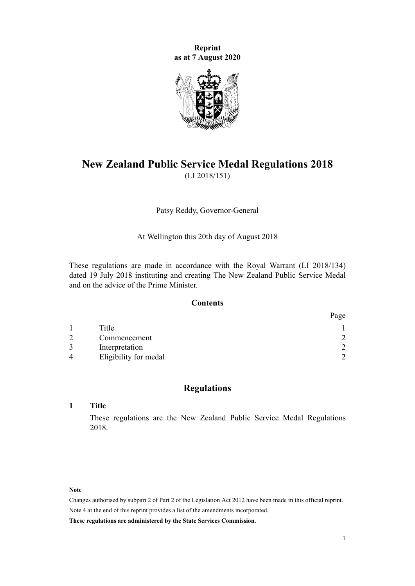**Reprint as at 7 August 2020**



# **New Zealand Public Service Medal Regulations 2018** (LI 2018/151)

Patsy Reddy, Governor-General

At Wellington this 20th day of August 2018

These regulations are made in accordance with the Royal Warrant (LI 2018/134) dated 19 July 2018 instituting and creating The New Zealand Public Service Medal and on the advice of the Prime Minister.

## **Contents**

|               |                       | Page |
|---------------|-----------------------|------|
|               | Title                 |      |
| $\mathcal{D}$ | Commencement          | ◠    |
|               | Interpretation        | ↑    |
| $\Delta$      | Eligibility for medal | ◠    |

## **Regulations**

#### **1 Title**

These regulations are the New Zealand Public Service Medal Regulations 2018.

#### **Note**

Changes authorised by [subpart 2](http://legislation.govt.nz/pdflink.aspx?id=DLM2998524) of Part 2 of the Legislation Act 2012 have been made in this official reprint. Note 4 at the end of this reprint provides a list of the amendments incorporated.

**These regulations are administered by the State Services Commission.**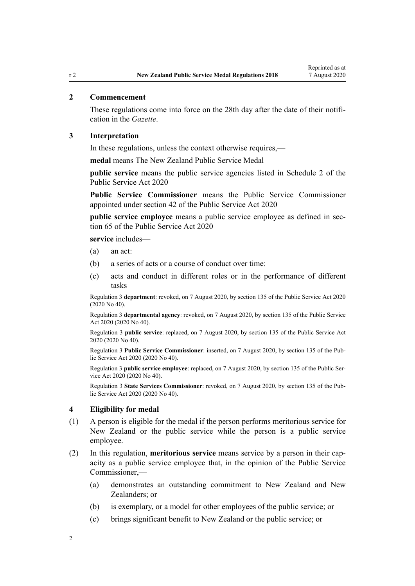## <span id="page-1-0"></span>**2 Commencement**

These regulations come into force on the 28th day after the date of their notification in the *Gazette*.

#### **3 Interpretation**

In these regulations, unless the context otherwise requires,—

**medal** means The New Zealand Public Service Medal

**public service** means the public service agencies listed in [Schedule 2](http://legislation.govt.nz/pdflink.aspx?id=LMS207451) of the Public Service Act 2020

**Public Service Commissioner** means the Public Service Commissioner appointed under [section 42](http://legislation.govt.nz/pdflink.aspx?id=LMS106181) of the Public Service Act 2020

**public service employee** means a public service employee as defined in [sec](http://legislation.govt.nz/pdflink.aspx?id=LMS261330)[tion 65](http://legislation.govt.nz/pdflink.aspx?id=LMS261330) of the Public Service Act 2020

**service** includes—

- (a) an act:
- (b) a series of acts or a course of conduct over time:
- (c) acts and conduct in different roles or in the performance of different tasks

Regulation 3 **department**: revoked, on 7 August 2020, by [section 135](http://legislation.govt.nz/pdflink.aspx?id=LMS176959) of the Public Service Act 2020 (2020 No 40).

Regulation 3 **departmental agency**: revoked, on 7 August 2020, by [section 135](http://legislation.govt.nz/pdflink.aspx?id=LMS176959) of the Public Service Act 2020 (2020 No 40).

Regulation 3 **public service**: replaced, on 7 August 2020, by [section 135](http://legislation.govt.nz/pdflink.aspx?id=LMS176959) of the Public Service Act 2020 (2020 No 40).

Regulation 3 **Public Service Commissioner**: inserted, on 7 August 2020, by [section 135](http://legislation.govt.nz/pdflink.aspx?id=LMS176959) of the Public Service Act 2020 (2020 No 40).

Regulation 3 **public service employee**: replaced, on 7 August 2020, by [section 135](http://legislation.govt.nz/pdflink.aspx?id=LMS176959) of the Public Service Act 2020 (2020 No 40).

Regulation 3 **State Services Commissioner**: revoked, on 7 August 2020, by [section 135](http://legislation.govt.nz/pdflink.aspx?id=LMS176959) of the Public Service Act 2020 (2020 No 40).

#### **4 Eligibility for medal**

- (1) A person is eligible for the medal if the person performs meritorious service for New Zealand or the public service while the person is a public service employee.
- (2) In this regulation, **meritorious service** means service by a person in their capacity as a public service employee that, in the opinion of the Public Service Commissioner,—
	- (a) demonstrates an outstanding commitment to New Zealand and New Zealanders: or
	- (b) is exemplary, or a model for other employees of the public service; or
	- (c) brings significant benefit to New Zealand or the public service; or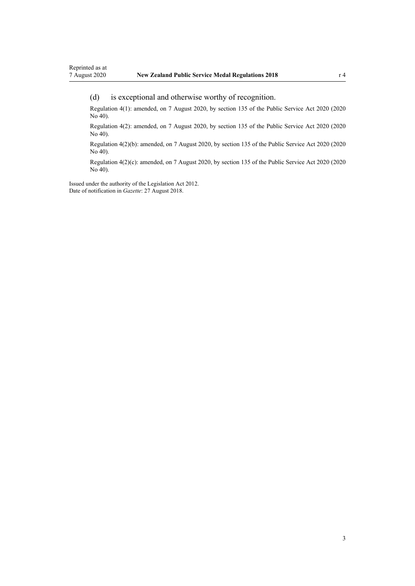#### (d) is exceptional and otherwise worthy of recognition.

Regulation 4(1): amended, on 7 August 2020, by [section 135](http://legislation.govt.nz/pdflink.aspx?id=LMS176959) of the Public Service Act 2020 (2020 No 40).

Regulation 4(2): amended, on 7 August 2020, by [section 135](http://legislation.govt.nz/pdflink.aspx?id=LMS176959) of the Public Service Act 2020 (2020 No 40).

Regulation 4(2)(b): amended, on 7 August 2020, by [section 135](http://legislation.govt.nz/pdflink.aspx?id=LMS176959) of the Public Service Act 2020 (2020 No 40).

Regulation 4(2)(c): amended, on 7 August 2020, by [section 135](http://legislation.govt.nz/pdflink.aspx?id=LMS176959) of the Public Service Act 2020 (2020 No 40).

Issued under the authority of the [Legislation Act 2012](http://legislation.govt.nz/pdflink.aspx?id=DLM2997643). Date of notification in *Gazette*: 27 August 2018.